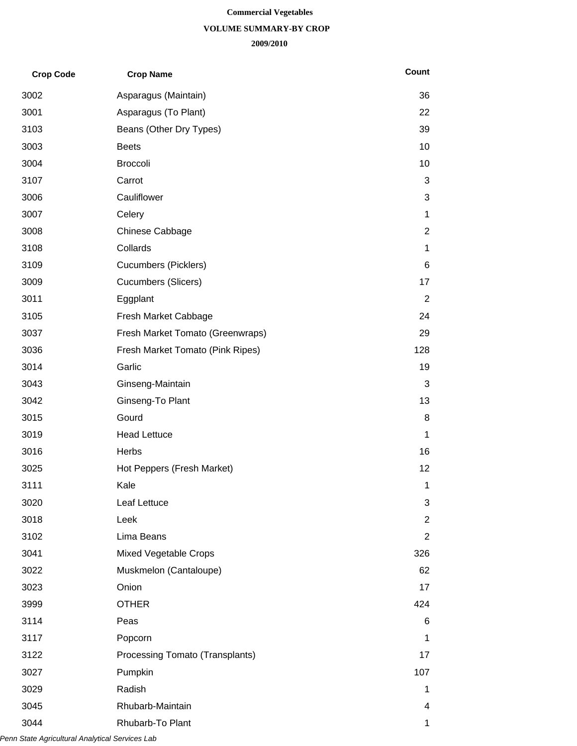#### **Commercial Vegetables**

#### **VOLUME SUMMARY-BY CROP**

#### **2009/2010**

| <b>Crop Code</b> | <b>Crop Name</b>                 | Count          |
|------------------|----------------------------------|----------------|
| 3002             | Asparagus (Maintain)             | 36             |
| 3001             | Asparagus (To Plant)             | 22             |
| 3103             | Beans (Other Dry Types)          | 39             |
| 3003             | <b>Beets</b>                     | 10             |
| 3004             | <b>Broccoli</b>                  | 10             |
| 3107             | Carrot                           | 3              |
| 3006             | Cauliflower                      | 3              |
| 3007             | Celery                           | 1              |
| 3008             | Chinese Cabbage                  | $\overline{c}$ |
| 3108             | Collards                         | 1              |
| 3109             | <b>Cucumbers (Picklers)</b>      | 6              |
| 3009             | <b>Cucumbers (Slicers)</b>       | 17             |
| 3011             | Eggplant                         | $\overline{2}$ |
| 3105             | Fresh Market Cabbage             | 24             |
| 3037             | Fresh Market Tomato (Greenwraps) | 29             |
| 3036             | Fresh Market Tomato (Pink Ripes) | 128            |
| 3014             | Garlic                           | 19             |
| 3043             | Ginseng-Maintain                 | 3              |
| 3042             | Ginseng-To Plant                 | 13             |
| 3015             | Gourd                            | 8              |
| 3019             | <b>Head Lettuce</b>              | 1              |
| 3016             | Herbs                            | 16             |
| 3025             | Hot Peppers (Fresh Market)       | 12             |
| 3111             | Kale                             | 1              |
| 3020             | Leaf Lettuce                     | 3              |
| 3018             | Leek                             | $\overline{2}$ |
| 3102             | Lima Beans                       | $\overline{2}$ |
| 3041             | Mixed Vegetable Crops            | 326            |
| 3022             | Muskmelon (Cantaloupe)           | 62             |
| 3023             | Onion                            | 17             |
| 3999             | <b>OTHER</b>                     | 424            |
| 3114             | Peas                             | 6              |
| 3117             | Popcorn                          | 1              |
| 3122             | Processing Tomato (Transplants)  | 17             |
| 3027             | Pumpkin                          | 107            |
| 3029             | Radish                           | 1              |
| 3045             | Rhubarb-Maintain                 | 4              |
| 3044             | Rhubarb-To Plant                 | 1              |

*Penn State Agricultural Analytical Services Lab*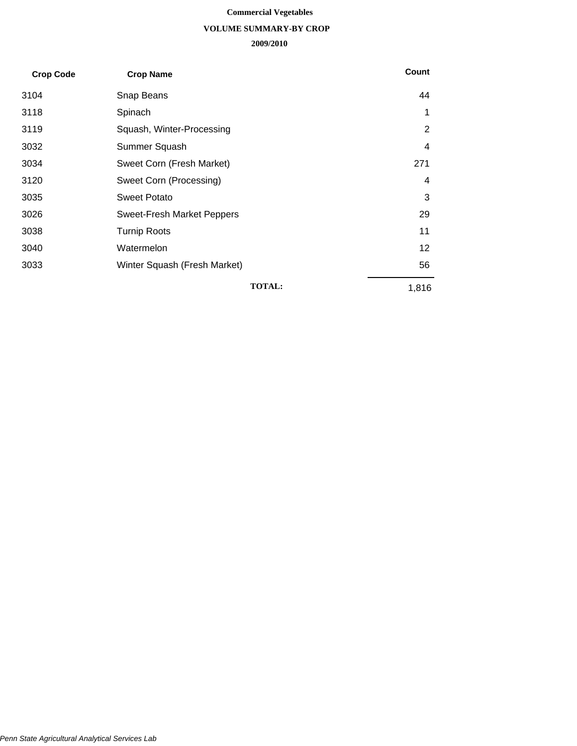#### **Commercial Vegetables**

#### **VOLUME SUMMARY-BY CROP**

#### **2009/2010**

| <b>Crop Code</b> | <b>Crop Name</b>                  | Count          |
|------------------|-----------------------------------|----------------|
| 3104             | Snap Beans                        | 44             |
| 3118             | Spinach                           | 1              |
| 3119             | Squash, Winter-Processing         | $\overline{2}$ |
| 3032             | Summer Squash                     | 4              |
| 3034             | Sweet Corn (Fresh Market)         | 271            |
| 3120             | Sweet Corn (Processing)           | 4              |
| 3035             | <b>Sweet Potato</b>               | 3              |
| 3026             | <b>Sweet-Fresh Market Peppers</b> | 29             |
| 3038             | <b>Turnip Roots</b>               | 11             |
| 3040             | Watermelon                        | 12             |
| 3033             | Winter Squash (Fresh Market)      | 56             |
|                  | <b>TOTAL:</b>                     | 1,816          |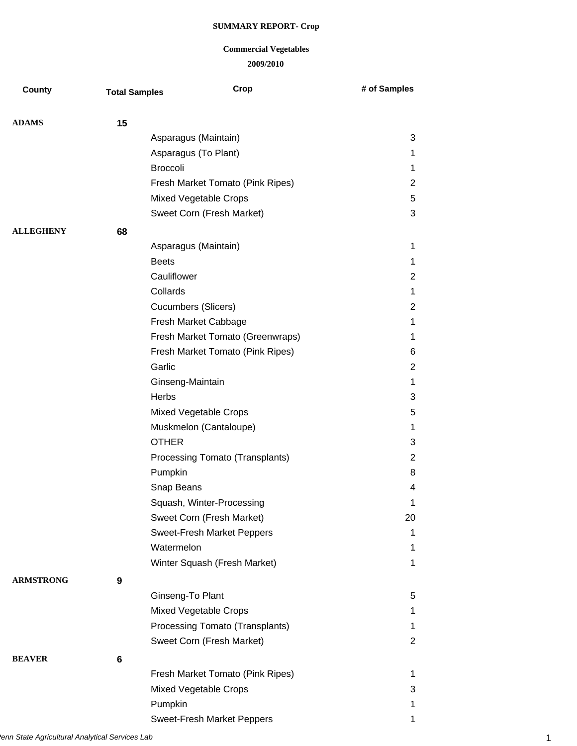| County           | <b>Total Samples</b> | Crop                              | # of Samples            |
|------------------|----------------------|-----------------------------------|-------------------------|
| <b>ADAMS</b>     | 15                   |                                   |                         |
|                  |                      | Asparagus (Maintain)              | 3                       |
|                  |                      | Asparagus (To Plant)              | 1                       |
|                  |                      | <b>Broccoli</b>                   | $\mathbf{1}$            |
|                  |                      | Fresh Market Tomato (Pink Ripes)  | $\overline{2}$          |
|                  |                      | Mixed Vegetable Crops             | $\sqrt{5}$              |
|                  |                      | Sweet Corn (Fresh Market)         | $\sqrt{3}$              |
| <b>ALLEGHENY</b> | 68                   |                                   |                         |
|                  |                      | Asparagus (Maintain)              | 1                       |
|                  |                      | <b>Beets</b>                      | 1                       |
|                  |                      | Cauliflower                       | $\overline{c}$          |
|                  |                      | Collards                          | $\mathbf{1}$            |
|                  |                      | <b>Cucumbers (Slicers)</b>        | $\overline{2}$          |
|                  |                      | Fresh Market Cabbage              | 1                       |
|                  |                      | Fresh Market Tomato (Greenwraps)  | $\mathbf{1}$            |
|                  |                      | Fresh Market Tomato (Pink Ripes)  | 6                       |
|                  |                      | Garlic                            | $\overline{2}$          |
|                  |                      | Ginseng-Maintain                  | $\mathbf{1}$            |
|                  |                      | Herbs                             | $\sqrt{3}$              |
|                  |                      | Mixed Vegetable Crops             | 5                       |
|                  |                      | Muskmelon (Cantaloupe)            | 1                       |
|                  |                      | <b>OTHER</b>                      | 3                       |
|                  |                      | Processing Tomato (Transplants)   | $\overline{2}$          |
|                  |                      | Pumpkin                           | 8                       |
|                  |                      | Snap Beans                        | $\overline{\mathbf{4}}$ |
|                  |                      | Squash, Winter-Processing         | 1                       |
|                  |                      | Sweet Corn (Fresh Market)         | 20                      |
|                  |                      | <b>Sweet-Fresh Market Peppers</b> | 1                       |
|                  |                      | Watermelon                        | 1                       |
|                  |                      | Winter Squash (Fresh Market)      | 1                       |
| <b>ARMSTRONG</b> | 9                    |                                   |                         |
|                  |                      | Ginseng-To Plant                  | 5                       |
|                  |                      | Mixed Vegetable Crops             | 1                       |
|                  |                      | Processing Tomato (Transplants)   | $\mathbf 1$             |
|                  |                      | Sweet Corn (Fresh Market)         | $\overline{c}$          |
| <b>BEAVER</b>    | 6                    |                                   |                         |
|                  |                      | Fresh Market Tomato (Pink Ripes)  | 1                       |
|                  |                      | Mixed Vegetable Crops             | 3                       |
|                  |                      | Pumpkin                           | 1                       |
|                  |                      | <b>Sweet-Fresh Market Peppers</b> | 1                       |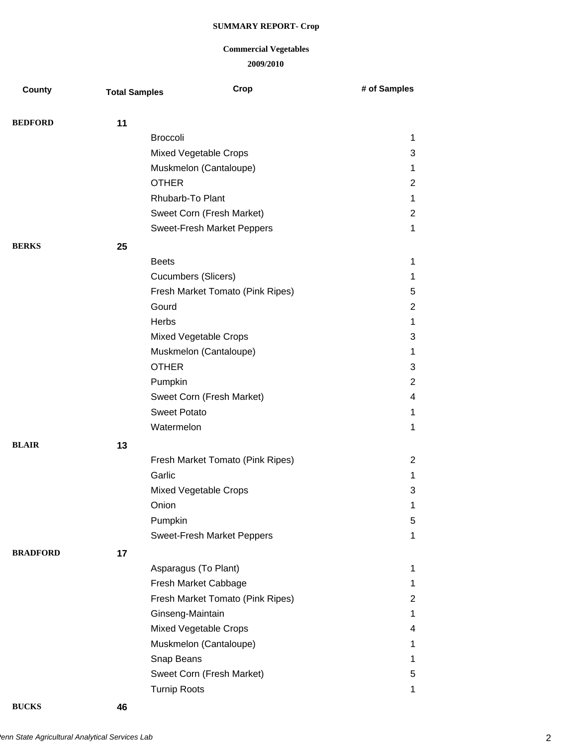## **2009/2010 Commercial Vegetables**

| County          | <b>Total Samples</b> | Crop                              | # of Samples   |
|-----------------|----------------------|-----------------------------------|----------------|
|                 |                      |                                   |                |
| <b>BEDFORD</b>  | 11                   |                                   |                |
|                 |                      | <b>Broccoli</b>                   | $\mathbf 1$    |
|                 |                      | Mixed Vegetable Crops             | 3              |
|                 |                      | Muskmelon (Cantaloupe)            | 1              |
|                 |                      | <b>OTHER</b>                      | $\overline{2}$ |
|                 |                      | Rhubarb-To Plant                  | $\mathbf 1$    |
|                 |                      | Sweet Corn (Fresh Market)         | $\overline{2}$ |
|                 |                      | Sweet-Fresh Market Peppers        | 1              |
| <b>BERKS</b>    | 25                   |                                   |                |
|                 |                      | <b>Beets</b>                      | $\mathbf 1$    |
|                 |                      | <b>Cucumbers (Slicers)</b>        | $\mathbf 1$    |
|                 |                      | Fresh Market Tomato (Pink Ripes)  | 5              |
|                 |                      | Gourd                             | $\overline{2}$ |
|                 |                      | Herbs                             | $\mathbf 1$    |
|                 |                      | Mixed Vegetable Crops             | 3              |
|                 |                      | Muskmelon (Cantaloupe)            | $\mathbf 1$    |
|                 |                      | <b>OTHER</b>                      | 3              |
|                 |                      | Pumpkin                           | $\overline{2}$ |
|                 |                      | Sweet Corn (Fresh Market)         | 4              |
|                 |                      | <b>Sweet Potato</b>               | $\mathbf 1$    |
|                 |                      | Watermelon                        | $\mathbf 1$    |
| <b>BLAIR</b>    | 13                   |                                   |                |
|                 |                      | Fresh Market Tomato (Pink Ripes)  | $\overline{2}$ |
|                 |                      | Garlic                            | 1              |
|                 |                      | <b>Mixed Vegetable Crops</b>      | 3              |
|                 |                      | Onion                             | 1              |
|                 |                      | Pumpkin                           | 5              |
|                 |                      | <b>Sweet-Fresh Market Peppers</b> | $\mathbf{1}$   |
| <b>BRADFORD</b> | 17                   |                                   |                |
|                 |                      | Asparagus (To Plant)              | 1              |
|                 |                      | Fresh Market Cabbage              | $\mathbf{1}$   |
|                 |                      | Fresh Market Tomato (Pink Ripes)  | $\overline{c}$ |
|                 |                      | Ginseng-Maintain                  | 1              |
|                 |                      | Mixed Vegetable Crops             | 4              |
|                 |                      | Muskmelon (Cantaloupe)            | $\mathbf 1$    |
|                 |                      | Snap Beans                        | 1              |
|                 |                      | Sweet Corn (Fresh Market)         | 5              |
|                 |                      | <b>Turnip Roots</b>               | 1              |
|                 |                      |                                   |                |

**BUCKS 46**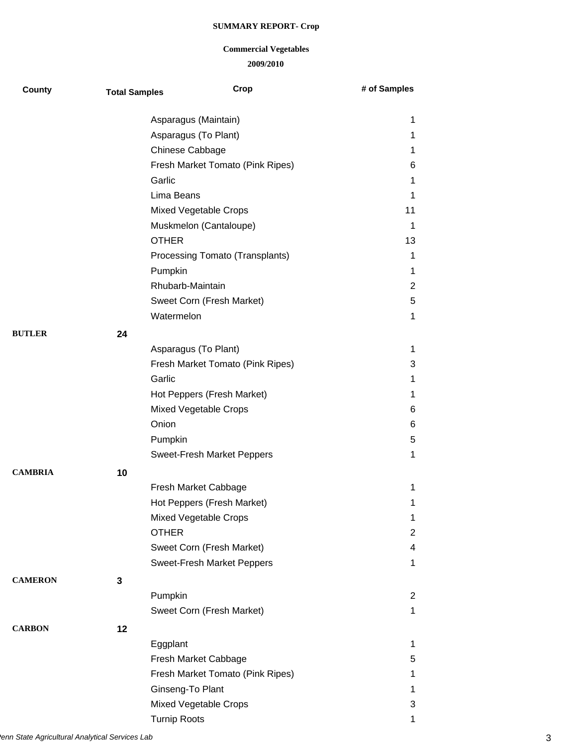| County         | <b>Total Samples</b> | Crop                              | # of Samples            |
|----------------|----------------------|-----------------------------------|-------------------------|
|                |                      | Asparagus (Maintain)              | 1                       |
|                |                      | Asparagus (To Plant)              | 1                       |
|                |                      | Chinese Cabbage                   | 1                       |
|                |                      | Fresh Market Tomato (Pink Ripes)  | 6                       |
|                |                      | Garlic                            | 1                       |
|                |                      | Lima Beans                        | 1                       |
|                |                      | Mixed Vegetable Crops             | 11                      |
|                |                      | Muskmelon (Cantaloupe)            | 1                       |
|                |                      | <b>OTHER</b>                      | 13                      |
|                |                      | Processing Tomato (Transplants)   | 1                       |
|                |                      | Pumpkin                           | 1                       |
|                |                      | Rhubarb-Maintain                  | $\overline{2}$          |
|                |                      | Sweet Corn (Fresh Market)         | 5                       |
|                |                      | Watermelon                        | 1                       |
| <b>BUTLER</b>  | 24                   |                                   |                         |
|                |                      | Asparagus (To Plant)              | 1                       |
|                |                      | Fresh Market Tomato (Pink Ripes)  | 3                       |
|                |                      | Garlic                            | 1                       |
|                |                      | Hot Peppers (Fresh Market)        | 1                       |
|                |                      | Mixed Vegetable Crops             | 6                       |
|                |                      | Onion                             | 6                       |
|                |                      | Pumpkin                           | 5                       |
|                |                      | <b>Sweet-Fresh Market Peppers</b> | 1                       |
| <b>CAMBRIA</b> | 10                   |                                   |                         |
|                |                      | Fresh Market Cabbage              | 1                       |
|                |                      | Hot Peppers (Fresh Market)        | 1                       |
|                |                      | <b>Mixed Vegetable Crops</b>      | 1                       |
|                |                      | <b>OTHER</b>                      | $\overline{2}$          |
|                |                      | Sweet Corn (Fresh Market)         | $\overline{\mathbf{4}}$ |
|                |                      | <b>Sweet-Fresh Market Peppers</b> | $\mathbf 1$             |
| <b>CAMERON</b> | 3                    |                                   |                         |
|                |                      | Pumpkin                           | $\overline{2}$          |
|                |                      | Sweet Corn (Fresh Market)         | 1                       |
| <b>CARBON</b>  | 12                   |                                   |                         |
|                |                      | Eggplant                          | 1                       |
|                |                      | Fresh Market Cabbage              | 5                       |
|                |                      | Fresh Market Tomato (Pink Ripes)  | $\mathbf{1}$            |
|                |                      | Ginseng-To Plant                  | 1                       |
|                |                      | Mixed Vegetable Crops             | 3                       |
|                |                      | <b>Turnip Roots</b>               | 1                       |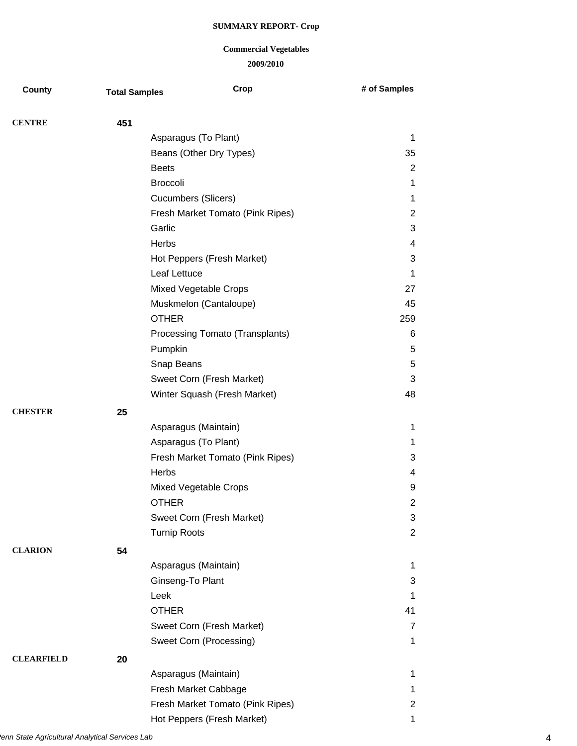| County            | <b>Total Samples</b> | Crop                             | # of Samples   |
|-------------------|----------------------|----------------------------------|----------------|
| <b>CENTRE</b>     | 451                  |                                  |                |
|                   |                      | Asparagus (To Plant)             | $\mathbf 1$    |
|                   |                      | Beans (Other Dry Types)          | 35             |
|                   |                      | <b>Beets</b>                     | 2              |
|                   |                      | <b>Broccoli</b>                  | $\mathbf{1}$   |
|                   |                      | <b>Cucumbers (Slicers)</b>       | 1              |
|                   |                      | Fresh Market Tomato (Pink Ripes) | $\overline{2}$ |
|                   |                      | Garlic                           | 3              |
|                   |                      | Herbs                            | 4              |
|                   |                      | Hot Peppers (Fresh Market)       | 3              |
|                   |                      | Leaf Lettuce                     | $\mathbf 1$    |
|                   |                      | Mixed Vegetable Crops            | 27             |
|                   |                      | Muskmelon (Cantaloupe)           | 45             |
|                   |                      | <b>OTHER</b>                     | 259            |
|                   |                      | Processing Tomato (Transplants)  | 6              |
|                   |                      | Pumpkin                          | $\sqrt{5}$     |
|                   |                      | Snap Beans                       | $\sqrt{5}$     |
|                   |                      | Sweet Corn (Fresh Market)        | 3              |
|                   |                      | Winter Squash (Fresh Market)     | 48             |
| <b>CHESTER</b>    | 25                   |                                  |                |
|                   |                      | Asparagus (Maintain)             | $\mathbf 1$    |
|                   |                      | Asparagus (To Plant)             | 1              |
|                   |                      | Fresh Market Tomato (Pink Ripes) | 3              |
|                   |                      | Herbs                            | 4              |
|                   |                      | Mixed Vegetable Crops            | 9              |
|                   |                      | <b>OTHER</b>                     | $\overline{2}$ |
|                   |                      | Sweet Corn (Fresh Market)        | 3              |
|                   |                      | <b>Turnip Roots</b>              | $\overline{2}$ |
| <b>CLARION</b>    | 54                   |                                  |                |
|                   |                      | Asparagus (Maintain)             | 1              |
|                   |                      | Ginseng-To Plant                 | 3              |
|                   |                      | Leek                             | $\mathbf 1$    |
|                   |                      | <b>OTHER</b>                     | 41             |
|                   |                      | Sweet Corn (Fresh Market)        | $\overline{7}$ |
|                   |                      | Sweet Corn (Processing)          | 1              |
| <b>CLEARFIELD</b> | 20                   |                                  |                |
|                   |                      | Asparagus (Maintain)             | $\mathbf 1$    |
|                   |                      | Fresh Market Cabbage             | $\mathbf 1$    |
|                   |                      | Fresh Market Tomato (Pink Ripes) | $\overline{2}$ |
|                   |                      | Hot Peppers (Fresh Market)       | 1              |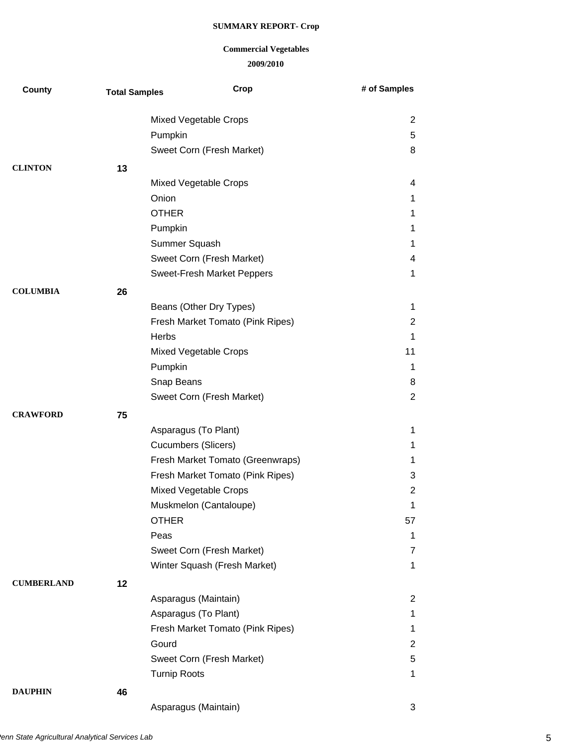# **Commercial Vegetables**

**2009/2010**

| County            | <b>Total Samples</b> | Crop                              | # of Samples   |
|-------------------|----------------------|-----------------------------------|----------------|
|                   |                      | Mixed Vegetable Crops             | $\overline{2}$ |
|                   |                      | Pumpkin                           | 5              |
|                   |                      | Sweet Corn (Fresh Market)         | 8              |
| <b>CLINTON</b>    | 13                   |                                   |                |
|                   |                      | <b>Mixed Vegetable Crops</b>      | 4              |
|                   |                      | Onion                             | 1              |
|                   |                      | <b>OTHER</b>                      | 1              |
|                   |                      | Pumpkin                           | 1              |
|                   |                      | Summer Squash                     | 1              |
|                   |                      | Sweet Corn (Fresh Market)         | 4              |
|                   |                      | <b>Sweet-Fresh Market Peppers</b> | 1              |
| <b>COLUMBIA</b>   | 26                   |                                   |                |
|                   |                      | Beans (Other Dry Types)           | 1              |
|                   |                      | Fresh Market Tomato (Pink Ripes)  | 2              |
|                   |                      | <b>Herbs</b>                      | 1              |
|                   |                      | Mixed Vegetable Crops             | 11             |
|                   |                      | Pumpkin                           | $\mathbf 1$    |
|                   |                      | Snap Beans                        | 8              |
|                   |                      | Sweet Corn (Fresh Market)         | $\overline{2}$ |
| <b>CRAWFORD</b>   | 75                   |                                   |                |
|                   |                      | Asparagus (To Plant)              | 1              |
|                   |                      | Cucumbers (Slicers)               | 1              |
|                   |                      | Fresh Market Tomato (Greenwraps)  | 1              |
|                   |                      | Fresh Market Tomato (Pink Ripes)  | 3              |
|                   |                      | <b>Mixed Vegetable Crops</b>      | $\overline{2}$ |
|                   |                      | Muskmelon (Cantaloupe)            | 1              |
|                   |                      | <b>OTHER</b>                      | 57             |
|                   |                      | Peas                              | 1              |
|                   |                      | Sweet Corn (Fresh Market)         | 7              |
|                   |                      | Winter Squash (Fresh Market)      | $\mathbf 1$    |
| <b>CUMBERLAND</b> | 12                   |                                   |                |
|                   |                      | Asparagus (Maintain)              | $\overline{2}$ |
|                   |                      | Asparagus (To Plant)              | 1              |
|                   |                      | Fresh Market Tomato (Pink Ripes)  | 1              |
|                   |                      | Gourd                             | $\overline{c}$ |
|                   |                      | Sweet Corn (Fresh Market)         | 5              |
|                   |                      | <b>Turnip Roots</b>               | 1              |
| <b>DAUPHIN</b>    | 46                   |                                   |                |
|                   |                      | Asparagus (Maintain)              | 3              |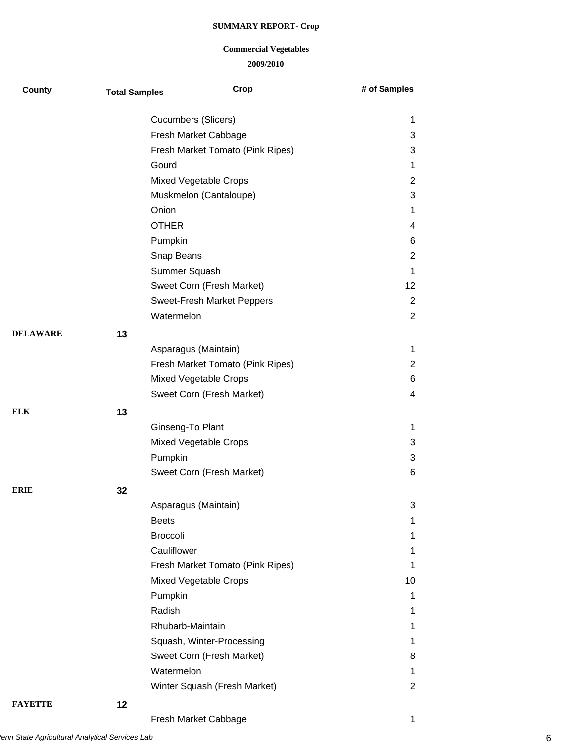| County          | <b>Total Samples</b> | Crop                              | # of Samples            |
|-----------------|----------------------|-----------------------------------|-------------------------|
|                 |                      | <b>Cucumbers (Slicers)</b>        | 1                       |
|                 |                      | Fresh Market Cabbage              | 3                       |
|                 |                      | Fresh Market Tomato (Pink Ripes)  | 3                       |
|                 |                      | Gourd                             | 1                       |
|                 |                      | <b>Mixed Vegetable Crops</b>      | $\overline{c}$          |
|                 |                      | Muskmelon (Cantaloupe)            | 3                       |
|                 |                      | Onion                             | 1                       |
|                 |                      | <b>OTHER</b>                      | $\overline{\mathbf{4}}$ |
|                 |                      | Pumpkin                           | 6                       |
|                 |                      | Snap Beans                        | $\mathbf 2$             |
|                 |                      | Summer Squash                     | $\mathbf{1}$            |
|                 |                      | Sweet Corn (Fresh Market)         | 12                      |
|                 |                      | <b>Sweet-Fresh Market Peppers</b> | $\mathbf 2$             |
|                 |                      | Watermelon                        | $\mathbf{2}$            |
| <b>DELAWARE</b> | 13                   |                                   |                         |
|                 |                      | Asparagus (Maintain)              | 1                       |
|                 |                      | Fresh Market Tomato (Pink Ripes)  | $\mathbf{2}$            |
|                 |                      | Mixed Vegetable Crops             | 6                       |
|                 |                      | Sweet Corn (Fresh Market)         | $\overline{\mathbf{4}}$ |
| ELK             | 13                   |                                   |                         |
|                 |                      | Ginseng-To Plant                  | 1                       |
|                 |                      | Mixed Vegetable Crops             | 3                       |
|                 |                      | Pumpkin                           | 3                       |
|                 |                      | Sweet Corn (Fresh Market)         | 6                       |
| ERIE            | 32                   |                                   |                         |
|                 |                      | Asparagus (Maintain)              | 3                       |
|                 |                      | <b>Beets</b>                      | 1                       |
|                 |                      | <b>Broccoli</b>                   | 1                       |
|                 |                      | Cauliflower                       | 1                       |
|                 |                      | Fresh Market Tomato (Pink Ripes)  | 1                       |
|                 |                      | Mixed Vegetable Crops             | 10                      |
|                 |                      | Pumpkin                           | 1                       |
|                 |                      | Radish                            | 1                       |
|                 |                      | Rhubarb-Maintain                  | 1                       |
|                 |                      | Squash, Winter-Processing         | 1                       |
|                 |                      | Sweet Corn (Fresh Market)         | 8                       |
|                 |                      | Watermelon                        | $\mathbf{1}$            |
|                 |                      | Winter Squash (Fresh Market)      | $\mathbf{2}$            |
| <b>FAYETTE</b>  | 12                   |                                   |                         |
|                 |                      | Fresh Market Cabbage              | 1                       |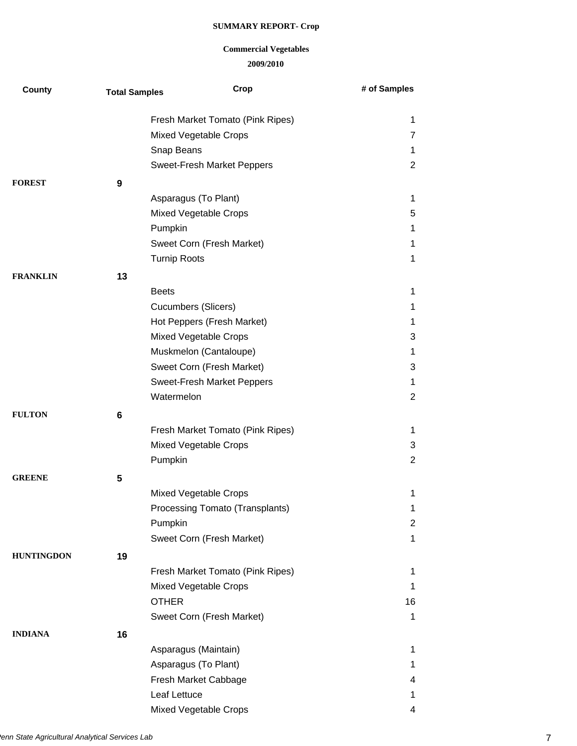| <b>County</b>     | <b>Total Samples</b> | Crop                             | # of Samples   |
|-------------------|----------------------|----------------------------------|----------------|
|                   |                      | Fresh Market Tomato (Pink Ripes) | 1              |
|                   |                      | Mixed Vegetable Crops            | 7              |
|                   |                      | Snap Beans                       | 1              |
|                   |                      | Sweet-Fresh Market Peppers       | $\overline{2}$ |
| <b>FOREST</b>     | 9                    |                                  |                |
|                   |                      | Asparagus (To Plant)             | 1              |
|                   |                      | Mixed Vegetable Crops            | 5              |
|                   |                      | Pumpkin                          | 1              |
|                   |                      | Sweet Corn (Fresh Market)        | 1              |
|                   |                      | <b>Turnip Roots</b>              | 1              |
| <b>FRANKLIN</b>   | 13                   |                                  |                |
|                   |                      | <b>Beets</b>                     | 1              |
|                   |                      | <b>Cucumbers (Slicers)</b>       | 1              |
|                   |                      | Hot Peppers (Fresh Market)       | 1              |
|                   |                      | Mixed Vegetable Crops            | 3              |
|                   |                      | Muskmelon (Cantaloupe)           | 1              |
|                   |                      | Sweet Corn (Fresh Market)        | 3              |
|                   |                      | Sweet-Fresh Market Peppers       | $\mathbf 1$    |
|                   |                      | Watermelon                       | $\overline{2}$ |
| <b>FULTON</b>     | 6                    |                                  |                |
|                   |                      | Fresh Market Tomato (Pink Ripes) | 1              |
|                   |                      | Mixed Vegetable Crops            | 3              |
|                   |                      | Pumpkin                          | $\overline{2}$ |
| <b>GREENE</b>     | 5                    |                                  |                |
|                   |                      | <b>Mixed Vegetable Crops</b>     | 1              |
|                   |                      | Processing Tomato (Transplants)  | 1              |
|                   |                      | Pumpkin                          | $\overline{c}$ |
|                   |                      | Sweet Corn (Fresh Market)        | 1              |
| <b>HUNTINGDON</b> | 19                   |                                  |                |
|                   |                      | Fresh Market Tomato (Pink Ripes) | 1              |
|                   |                      | <b>Mixed Vegetable Crops</b>     | 1              |
|                   |                      | <b>OTHER</b>                     | 16             |
|                   |                      | Sweet Corn (Fresh Market)        | $\mathbf 1$    |
| <b>INDIANA</b>    | 16                   |                                  |                |
|                   |                      | Asparagus (Maintain)             | 1              |
|                   |                      | Asparagus (To Plant)             | 1              |
|                   |                      | Fresh Market Cabbage             | 4              |
|                   |                      | Leaf Lettuce                     | 1              |
|                   |                      | Mixed Vegetable Crops            | 4              |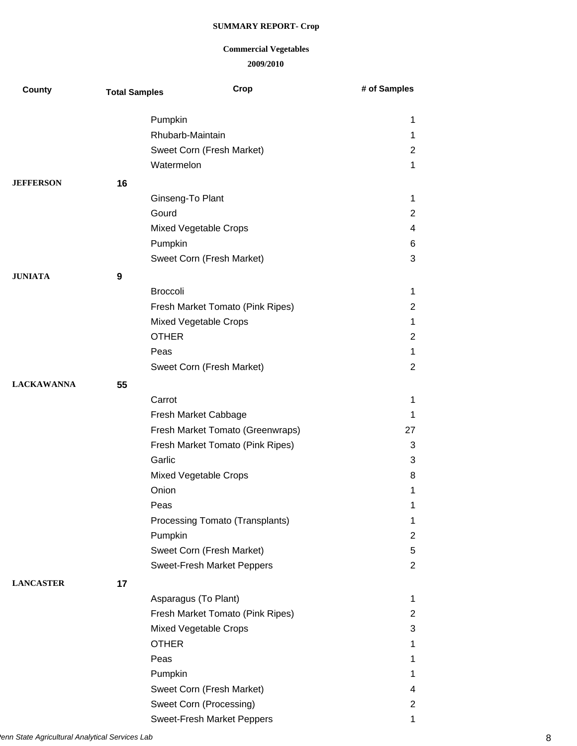| County            | <b>Total Samples</b> | Crop                             | # of Samples            |
|-------------------|----------------------|----------------------------------|-------------------------|
|                   |                      | Pumpkin                          | 1                       |
|                   |                      | Rhubarb-Maintain                 | 1                       |
|                   |                      | Sweet Corn (Fresh Market)        | $\overline{2}$          |
|                   |                      | Watermelon                       | 1                       |
| <b>JEFFERSON</b>  | 16                   |                                  |                         |
|                   |                      | Ginseng-To Plant                 | 1                       |
|                   |                      | Gourd                            | $\overline{2}$          |
|                   |                      | Mixed Vegetable Crops            | $\overline{\mathbf{4}}$ |
|                   |                      | Pumpkin                          | 6                       |
|                   |                      | Sweet Corn (Fresh Market)        | 3                       |
| <b>JUNIATA</b>    | 9                    |                                  |                         |
|                   |                      | <b>Broccoli</b>                  | $\mathbf 1$             |
|                   |                      | Fresh Market Tomato (Pink Ripes) | $\overline{2}$          |
|                   |                      | Mixed Vegetable Crops            | 1                       |
|                   |                      | <b>OTHER</b>                     | $\overline{2}$          |
|                   |                      | Peas                             | 1                       |
|                   |                      | Sweet Corn (Fresh Market)        | $\overline{2}$          |
| <b>LACKAWANNA</b> | 55                   |                                  |                         |
|                   |                      | Carrot                           | 1                       |
|                   |                      | Fresh Market Cabbage             | 1                       |
|                   |                      | Fresh Market Tomato (Greenwraps) | 27                      |
|                   |                      | Fresh Market Tomato (Pink Ripes) | 3                       |
|                   |                      | Garlic                           | 3                       |
|                   |                      | Mixed Vegetable Crops            | 8                       |
|                   |                      | Onion                            | 1                       |
|                   |                      | Peas                             | 1                       |
|                   |                      | Processing Tomato (Transplants)  | 1                       |
|                   |                      | Pumpkin                          | $\overline{2}$          |
|                   |                      | Sweet Corn (Fresh Market)        | 5                       |
|                   |                      | Sweet-Fresh Market Peppers       | $\overline{2}$          |
| <b>LANCASTER</b>  | 17                   |                                  |                         |
|                   |                      | Asparagus (To Plant)             | 1                       |
|                   |                      | Fresh Market Tomato (Pink Ripes) | $\overline{2}$          |
|                   |                      | Mixed Vegetable Crops            | 3                       |
|                   |                      | <b>OTHER</b>                     | 1                       |
|                   |                      | Peas                             | 1                       |
|                   |                      | Pumpkin                          | 1                       |
|                   |                      | Sweet Corn (Fresh Market)        | $\overline{\mathbf{4}}$ |
|                   |                      | Sweet Corn (Processing)          | $\overline{\mathbf{c}}$ |
|                   |                      | Sweet-Fresh Market Peppers       | 1                       |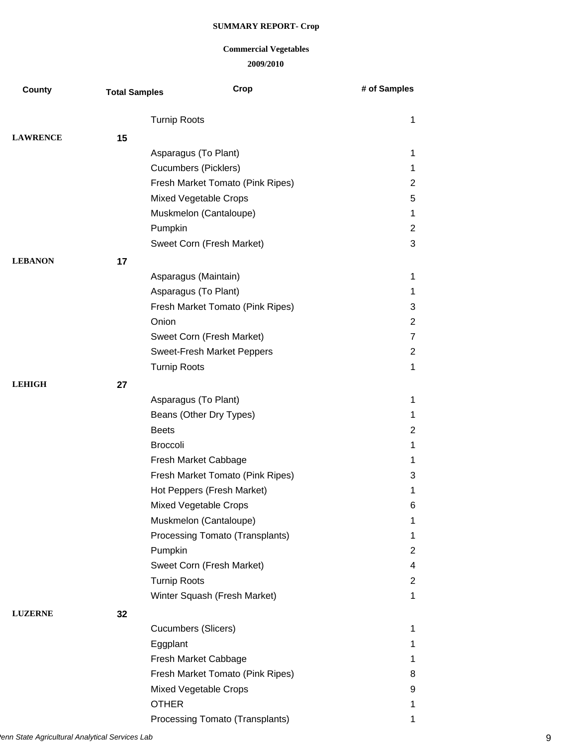| <b>County</b>   | <b>Total Samples</b> | Crop                             | # of Samples   |
|-----------------|----------------------|----------------------------------|----------------|
|                 |                      | <b>Turnip Roots</b>              | $\mathbf 1$    |
| <b>LAWRENCE</b> | 15                   |                                  |                |
|                 |                      | Asparagus (To Plant)             | 1              |
|                 |                      | <b>Cucumbers (Picklers)</b>      | $\mathbf{1}$   |
|                 |                      | Fresh Market Tomato (Pink Ripes) | $\overline{2}$ |
|                 |                      | Mixed Vegetable Crops            | 5              |
|                 |                      | Muskmelon (Cantaloupe)           | 1              |
|                 |                      | Pumpkin                          | $\overline{c}$ |
|                 |                      | Sweet Corn (Fresh Market)        | 3              |
| <b>LEBANON</b>  | 17                   |                                  |                |
|                 |                      | Asparagus (Maintain)             | $\mathbf 1$    |
|                 |                      | Asparagus (To Plant)             | 1              |
|                 |                      | Fresh Market Tomato (Pink Ripes) | 3              |
|                 |                      | Onion                            | $\overline{c}$ |
|                 |                      | Sweet Corn (Fresh Market)        | $\overline{7}$ |
|                 |                      | Sweet-Fresh Market Peppers       | $\overline{2}$ |
|                 |                      | <b>Turnip Roots</b>              | $\mathbf 1$    |
| <b>LEHIGH</b>   | 27                   |                                  |                |
|                 |                      | Asparagus (To Plant)             | 1              |
|                 |                      | Beans (Other Dry Types)          | 1              |
|                 |                      | <b>Beets</b>                     | 2              |
|                 |                      | <b>Broccoli</b>                  | 1              |
|                 |                      | Fresh Market Cabbage             | 1              |
|                 |                      | Fresh Market Tomato (Pink Ripes) | 3              |
|                 |                      | Hot Peppers (Fresh Market)       | 1              |
|                 |                      | Mixed Vegetable Crops            | 6              |
|                 |                      | Muskmelon (Cantaloupe)           | 1              |
|                 |                      | Processing Tomato (Transplants)  | $\mathbf 1$    |
|                 |                      | Pumpkin                          | $\overline{2}$ |
|                 |                      | Sweet Corn (Fresh Market)        | 4              |
|                 |                      | <b>Turnip Roots</b>              | $\overline{2}$ |
|                 |                      | Winter Squash (Fresh Market)     | $\mathbf{1}$   |
| <b>LUZERNE</b>  | 32                   |                                  |                |
|                 |                      | <b>Cucumbers (Slicers)</b>       | 1              |
|                 |                      | Eggplant                         | 1              |
|                 |                      | Fresh Market Cabbage             | $\mathbf{1}$   |
|                 |                      | Fresh Market Tomato (Pink Ripes) | 8              |
|                 |                      | Mixed Vegetable Crops            | 9              |
|                 |                      | <b>OTHER</b>                     | $\mathbf 1$    |
|                 |                      | Processing Tomato (Transplants)  | 1              |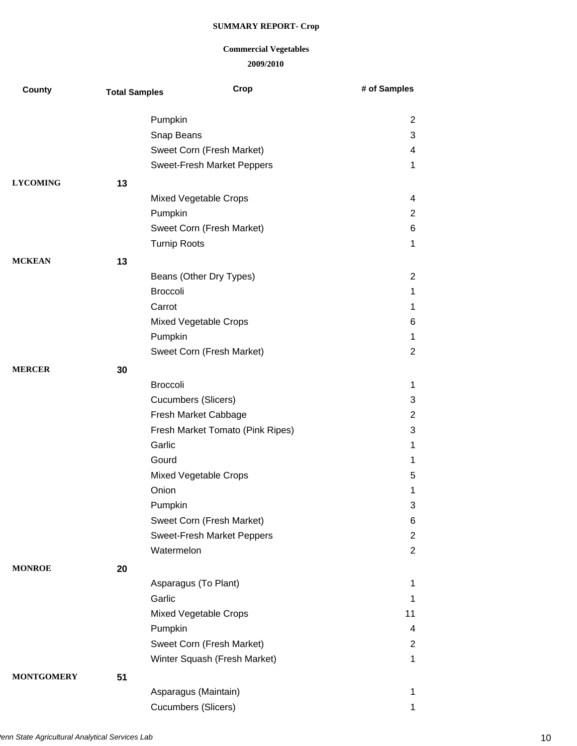| <b>County</b>     | <b>Total Samples</b> | Crop                              | # of Samples   |
|-------------------|----------------------|-----------------------------------|----------------|
|                   |                      | Pumpkin                           | $\overline{2}$ |
|                   |                      | Snap Beans                        | 3              |
|                   |                      | Sweet Corn (Fresh Market)         | 4              |
|                   |                      | <b>Sweet-Fresh Market Peppers</b> | 1              |
| <b>LYCOMING</b>   | 13                   |                                   |                |
|                   |                      | <b>Mixed Vegetable Crops</b>      | 4              |
|                   |                      | Pumpkin                           | $\overline{2}$ |
|                   |                      | Sweet Corn (Fresh Market)         | 6              |
|                   |                      | <b>Turnip Roots</b>               | 1              |
| <b>MCKEAN</b>     | 13                   |                                   |                |
|                   |                      | Beans (Other Dry Types)           | $\overline{2}$ |
|                   |                      | <b>Broccoli</b>                   | 1              |
|                   |                      | Carrot                            | 1              |
|                   |                      | Mixed Vegetable Crops             | 6              |
|                   |                      | Pumpkin                           | $\mathbf 1$    |
|                   |                      | Sweet Corn (Fresh Market)         | $\overline{2}$ |
| <b>MERCER</b>     | 30                   |                                   |                |
|                   |                      | <b>Broccoli</b>                   | 1              |
|                   |                      | <b>Cucumbers (Slicers)</b>        | 3              |
|                   |                      | Fresh Market Cabbage              | $\overline{2}$ |
|                   |                      | Fresh Market Tomato (Pink Ripes)  | 3              |
|                   |                      | Garlic                            | 1              |
|                   |                      | Gourd                             | 1              |
|                   |                      | Mixed Vegetable Crops             | 5              |
|                   |                      | Onion                             | 1              |
|                   |                      | Pumpkin                           | 3              |
|                   |                      | Sweet Corn (Fresh Market)         | 6              |
|                   |                      | <b>Sweet-Fresh Market Peppers</b> | $\overline{2}$ |
|                   |                      | Watermelon                        | $\overline{2}$ |
| <b>MONROE</b>     | 20                   |                                   |                |
|                   |                      | Asparagus (To Plant)              | 1              |
|                   |                      | Garlic                            | 1              |
|                   |                      | <b>Mixed Vegetable Crops</b>      | 11             |
|                   |                      | Pumpkin                           | 4              |
|                   |                      | Sweet Corn (Fresh Market)         | $\overline{c}$ |
|                   |                      | Winter Squash (Fresh Market)      | $\mathbf 1$    |
| <b>MONTGOMERY</b> | 51                   |                                   |                |
|                   |                      | Asparagus (Maintain)              | $\mathbf{1}$   |
|                   |                      | Cucumbers (Slicers)               | 1              |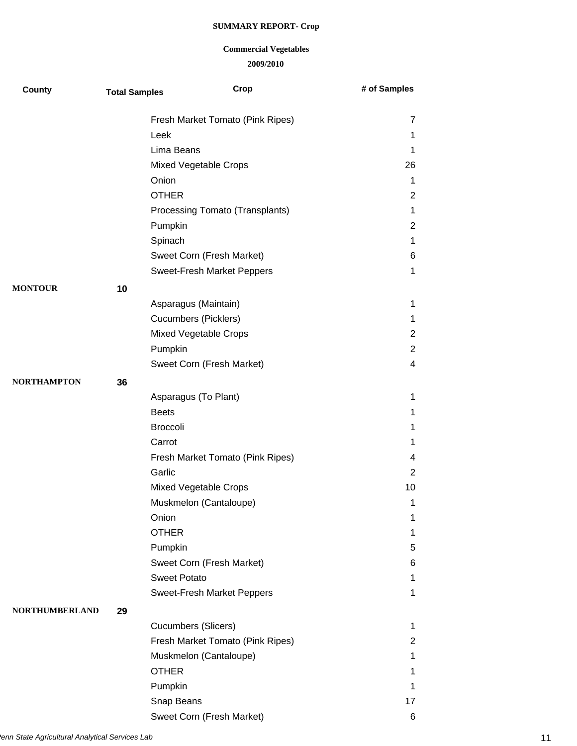| County                | <b>Total Samples</b> | Crop                              | # of Samples   |
|-----------------------|----------------------|-----------------------------------|----------------|
|                       |                      | Fresh Market Tomato (Pink Ripes)  | 7              |
|                       |                      | Leek                              | 1              |
|                       |                      | Lima Beans                        | 1              |
|                       |                      | Mixed Vegetable Crops             | 26             |
|                       |                      | Onion                             | 1              |
|                       |                      | <b>OTHER</b>                      | $\overline{2}$ |
|                       |                      | Processing Tomato (Transplants)   | $\mathbf 1$    |
|                       |                      | Pumpkin                           | $\overline{2}$ |
|                       |                      | Spinach                           | 1              |
|                       |                      | Sweet Corn (Fresh Market)         | 6              |
|                       |                      | <b>Sweet-Fresh Market Peppers</b> | 1              |
| <b>MONTOUR</b>        | 10                   |                                   |                |
|                       |                      | Asparagus (Maintain)              | 1              |
|                       |                      | <b>Cucumbers (Picklers)</b>       | 1              |
|                       |                      | Mixed Vegetable Crops             | $\overline{2}$ |
|                       |                      | Pumpkin                           | $\overline{2}$ |
|                       |                      | Sweet Corn (Fresh Market)         | 4              |
| <b>NORTHAMPTON</b>    | 36                   |                                   |                |
|                       |                      | Asparagus (To Plant)              | 1              |
|                       |                      | <b>Beets</b>                      | 1              |
|                       |                      | <b>Broccoli</b>                   | 1              |
|                       |                      | Carrot                            | 1              |
|                       |                      | Fresh Market Tomato (Pink Ripes)  | 4              |
|                       |                      | Garlic                            | $\overline{2}$ |
|                       |                      | <b>Mixed Vegetable Crops</b>      | 10             |
|                       |                      | Muskmelon (Cantaloupe)            | 1              |
|                       |                      | Onion                             | 1              |
|                       |                      | <b>OTHER</b>                      | 1              |
|                       |                      | Pumpkin                           | 5              |
|                       |                      | Sweet Corn (Fresh Market)         | 6              |
|                       |                      | <b>Sweet Potato</b>               | 1              |
|                       |                      | <b>Sweet-Fresh Market Peppers</b> | 1              |
| <b>NORTHUMBERLAND</b> | 29                   |                                   |                |
|                       |                      | Cucumbers (Slicers)               | 1              |
|                       |                      | Fresh Market Tomato (Pink Ripes)  | $\overline{c}$ |
|                       |                      | Muskmelon (Cantaloupe)            | 1              |
|                       |                      | <b>OTHER</b>                      | 1              |
|                       |                      | Pumpkin                           | 1              |
|                       |                      | Snap Beans                        | 17             |
|                       |                      | Sweet Corn (Fresh Market)         | 6              |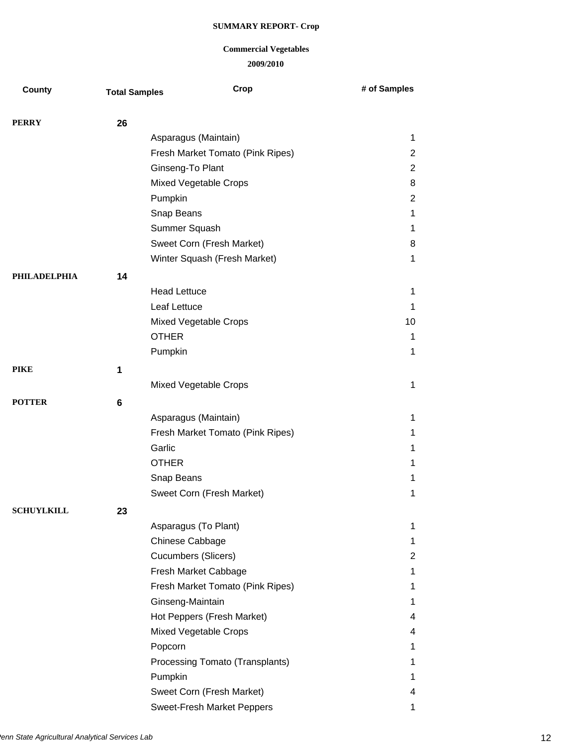| County              | <b>Total Samples</b> | Crop                             | # of Samples   |
|---------------------|----------------------|----------------------------------|----------------|
| <b>PERRY</b>        | 26                   |                                  |                |
|                     |                      | Asparagus (Maintain)             | $\mathbf 1$    |
|                     |                      | Fresh Market Tomato (Pink Ripes) | $\overline{c}$ |
|                     |                      | Ginseng-To Plant                 | $\overline{2}$ |
|                     |                      | Mixed Vegetable Crops            | 8              |
|                     |                      | Pumpkin                          | $\overline{c}$ |
|                     |                      | Snap Beans                       | 1              |
|                     |                      | Summer Squash                    | $\mathbf 1$    |
|                     |                      | Sweet Corn (Fresh Market)        | 8              |
|                     |                      | Winter Squash (Fresh Market)     | 1              |
| <b>PHILADELPHIA</b> | 14                   |                                  |                |
|                     |                      | <b>Head Lettuce</b>              | 1              |
|                     |                      | Leaf Lettuce                     | 1              |
|                     |                      | Mixed Vegetable Crops            | 10             |
|                     |                      | <b>OTHER</b>                     | 1              |
|                     |                      | Pumpkin                          | 1              |
| <b>PIKE</b>         | 1                    |                                  |                |
|                     |                      | <b>Mixed Vegetable Crops</b>     | $\mathbf{1}$   |
| <b>POTTER</b>       | 6                    |                                  |                |
|                     |                      | Asparagus (Maintain)             | 1              |
|                     |                      | Fresh Market Tomato (Pink Ripes) | 1              |
|                     |                      | Garlic                           | 1              |
|                     |                      | <b>OTHER</b>                     | 1              |
|                     |                      | Snap Beans                       | 1              |
|                     |                      | Sweet Corn (Fresh Market)        | $\mathbf 1$    |
| <b>SCHUYLKILL</b>   | 23                   |                                  |                |
|                     |                      | Asparagus (To Plant)             | 1              |
|                     |                      | Chinese Cabbage                  | $\mathbf 1$    |
|                     |                      | <b>Cucumbers (Slicers)</b>       | $\overline{2}$ |
|                     |                      | Fresh Market Cabbage             | 1              |
|                     |                      | Fresh Market Tomato (Pink Ripes) | 1              |
|                     |                      | Ginseng-Maintain                 | $\mathbf 1$    |
|                     |                      | Hot Peppers (Fresh Market)       | 4              |
|                     |                      | Mixed Vegetable Crops            | 4              |
|                     |                      | Popcorn                          | $\mathbf 1$    |
|                     |                      | Processing Tomato (Transplants)  | 1              |
|                     |                      | Pumpkin                          | 1              |
|                     |                      | Sweet Corn (Fresh Market)        | 4              |
|                     |                      | Sweet-Fresh Market Peppers       | 1              |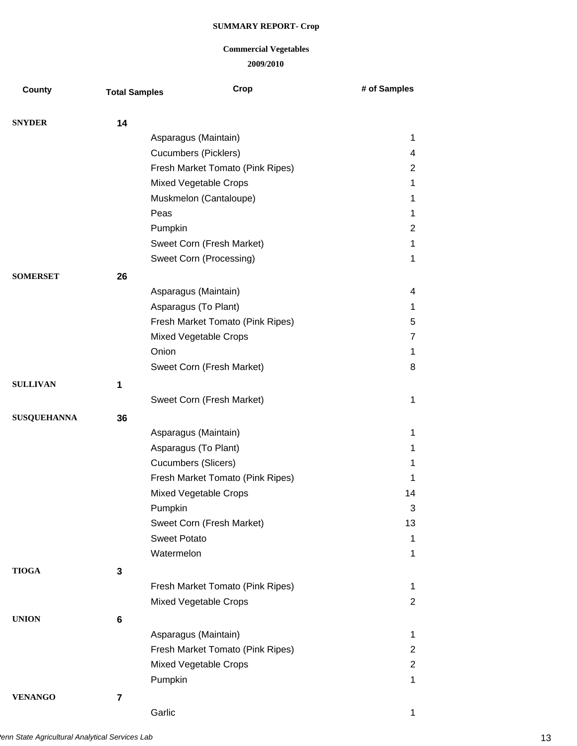| County             | <b>Total Samples</b> | Crop                             | # of Samples   |
|--------------------|----------------------|----------------------------------|----------------|
|                    |                      |                                  |                |
| <b>SNYDER</b>      | 14                   |                                  |                |
|                    |                      | Asparagus (Maintain)             | $\mathbf 1$    |
|                    |                      | <b>Cucumbers (Picklers)</b>      | 4              |
|                    |                      | Fresh Market Tomato (Pink Ripes) | $\overline{2}$ |
|                    |                      | Mixed Vegetable Crops            | 1              |
|                    |                      | Muskmelon (Cantaloupe)           | $\mathbf 1$    |
|                    |                      | Peas                             | 1              |
|                    |                      | Pumpkin                          | $\overline{c}$ |
|                    |                      | Sweet Corn (Fresh Market)        | $\mathbf 1$    |
|                    |                      | Sweet Corn (Processing)          | 1              |
| <b>SOMERSET</b>    | 26                   |                                  |                |
|                    |                      | Asparagus (Maintain)             | 4              |
|                    |                      | Asparagus (To Plant)             | 1              |
|                    |                      | Fresh Market Tomato (Pink Ripes) | 5              |
|                    |                      | <b>Mixed Vegetable Crops</b>     | $\overline{7}$ |
|                    |                      | Onion                            | $\mathbf 1$    |
|                    |                      | Sweet Corn (Fresh Market)        | 8              |
| <b>SULLIVAN</b>    | 1                    |                                  |                |
|                    |                      | Sweet Corn (Fresh Market)        | $\mathbf 1$    |
| <b>SUSQUEHANNA</b> | 36                   |                                  |                |
|                    |                      | Asparagus (Maintain)             | 1              |
|                    |                      | Asparagus (To Plant)             | $\mathbf 1$    |
|                    |                      | Cucumbers (Slicers)              | $\mathbf 1$    |
|                    |                      | Fresh Market Tomato (Pink Ripes) | 1              |
|                    |                      | Mixed Vegetable Crops            | 14             |
|                    |                      | Pumpkin                          | 3              |
|                    |                      | Sweet Corn (Fresh Market)        | 13             |
|                    |                      | <b>Sweet Potato</b>              | 1              |
|                    |                      | Watermelon                       | 1              |
| <b>TIOGA</b>       | 3                    |                                  |                |
|                    |                      | Fresh Market Tomato (Pink Ripes) | 1              |
|                    |                      | <b>Mixed Vegetable Crops</b>     | $\overline{2}$ |
| <b>UNION</b>       | 6                    |                                  |                |
|                    |                      | Asparagus (Maintain)             | $\mathbf 1$    |
|                    |                      | Fresh Market Tomato (Pink Ripes) | $\overline{2}$ |
|                    |                      | Mixed Vegetable Crops            | $\overline{2}$ |
|                    |                      | Pumpkin                          | 1              |
| <b>VENANGO</b>     | 7                    |                                  |                |
|                    |                      | Garlic                           | 1              |
|                    |                      |                                  |                |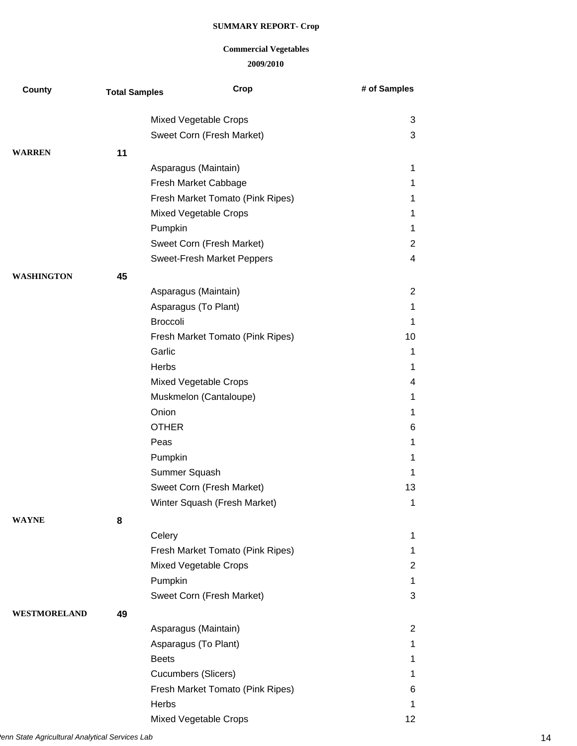| County              | <b>Total Samples</b> | Crop                             | # of Samples   |
|---------------------|----------------------|----------------------------------|----------------|
|                     |                      |                                  |                |
|                     |                      | Mixed Vegetable Crops            | 3              |
|                     |                      | Sweet Corn (Fresh Market)        | 3              |
| <b>WARREN</b>       | 11                   |                                  |                |
|                     |                      | Asparagus (Maintain)             | 1              |
|                     |                      | Fresh Market Cabbage             | 1              |
|                     |                      | Fresh Market Tomato (Pink Ripes) | 1              |
|                     |                      | Mixed Vegetable Crops            | 1              |
|                     |                      | Pumpkin                          | 1              |
|                     |                      | Sweet Corn (Fresh Market)        | $\overline{2}$ |
|                     |                      | Sweet-Fresh Market Peppers       | 4              |
| <b>WASHINGTON</b>   | 45                   |                                  |                |
|                     |                      | Asparagus (Maintain)             | $\overline{2}$ |
|                     |                      | Asparagus (To Plant)             | 1              |
|                     |                      | <b>Broccoli</b>                  | 1              |
|                     |                      | Fresh Market Tomato (Pink Ripes) | 10             |
|                     |                      | Garlic                           | 1              |
|                     |                      | Herbs                            | 1              |
|                     |                      | Mixed Vegetable Crops            | 4              |
|                     |                      | Muskmelon (Cantaloupe)           | 1              |
|                     |                      | Onion                            | 1              |
|                     |                      | <b>OTHER</b>                     | 6              |
|                     |                      | Peas                             | 1              |
|                     |                      | Pumpkin                          | 1              |
|                     |                      | Summer Squash                    | 1              |
|                     |                      | Sweet Corn (Fresh Market)        | 13             |
|                     |                      | Winter Squash (Fresh Market)     | 1              |
| <b>WAYNE</b>        | 8                    |                                  |                |
|                     |                      | Celery                           | 1              |
|                     |                      | Fresh Market Tomato (Pink Ripes) | 1              |
|                     |                      | <b>Mixed Vegetable Crops</b>     | $\overline{2}$ |
|                     |                      | Pumpkin                          | 1              |
|                     |                      | Sweet Corn (Fresh Market)        | 3              |
| <b>WESTMORELAND</b> | 49                   |                                  |                |
|                     |                      | Asparagus (Maintain)             | 2              |
|                     |                      | Asparagus (To Plant)             | 1              |
|                     |                      | <b>Beets</b>                     | 1              |
|                     |                      | Cucumbers (Slicers)              | 1              |
|                     |                      | Fresh Market Tomato (Pink Ripes) | 6              |
|                     |                      | Herbs                            | 1              |
|                     |                      | Mixed Vegetable Crops            | 12             |